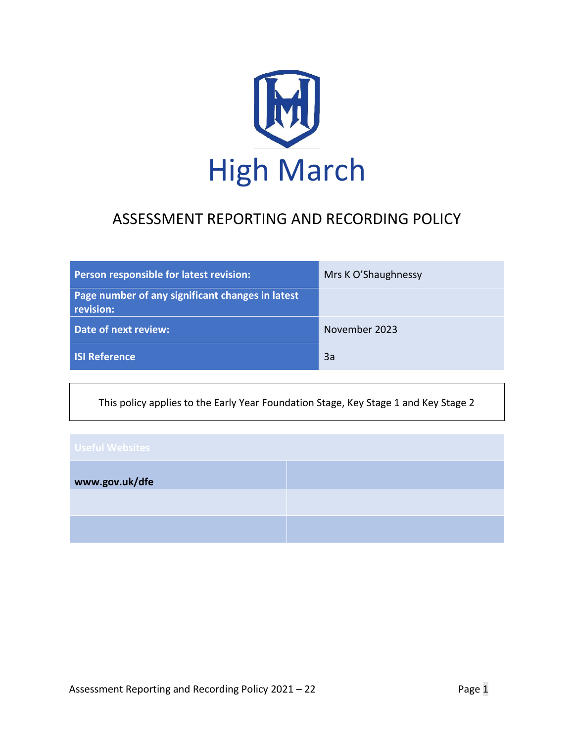

# ASSESSMENT REPORTING AND RECORDING POLICY

| Person responsible for latest revision:                       | Mrs K O'Shaughnessy |
|---------------------------------------------------------------|---------------------|
| Page number of any significant changes in latest<br>revision: |                     |
| Date of next review:                                          | November 2023       |
| <b>ISI Reference</b>                                          | 3a                  |

This policy applies to the Early Year Foundation Stage, Key Stage 1 and Key Stage 2

| <b>Useful Websites</b> |  |
|------------------------|--|
| www.gov.uk/dfe         |  |
|                        |  |
|                        |  |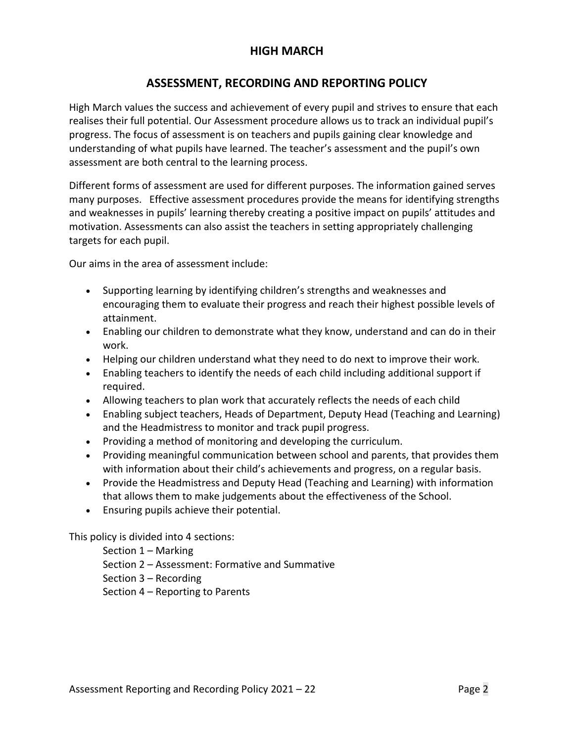## **HIGH MARCH**

## **ASSESSMENT, RECORDING AND REPORTING POLICY**

High March values the success and achievement of every pupil and strives to ensure that each realises their full potential. Our Assessment procedure allows us to track an individual pupil's progress. The focus of assessment is on teachers and pupils gaining clear knowledge and understanding of what pupils have learned. The teacher's assessment and the pupil's own assessment are both central to the learning process.

Different forms of assessment are used for different purposes. The information gained serves many purposes. Effective assessment procedures provide the means for identifying strengths and weaknesses in pupils' learning thereby creating a positive impact on pupils' attitudes and motivation. Assessments can also assist the teachers in setting appropriately challenging targets for each pupil.

Our aims in the area of assessment include:

- Supporting learning by identifying children's strengths and weaknesses and encouraging them to evaluate their progress and reach their highest possible levels of attainment.
- Enabling our children to demonstrate what they know, understand and can do in their work.
- Helping our children understand what they need to do next to improve their work.
- Enabling teachers to identify the needs of each child including additional support if required.
- Allowing teachers to plan work that accurately reflects the needs of each child
- Enabling subject teachers, Heads of Department, Deputy Head (Teaching and Learning) and the Headmistress to monitor and track pupil progress.
- Providing a method of monitoring and developing the curriculum.
- Providing meaningful communication between school and parents, that provides them with information about their child's achievements and progress, on a regular basis.
- Provide the Headmistress and Deputy Head (Teaching and Learning) with information that allows them to make judgements about the effectiveness of the School.
- Ensuring pupils achieve their potential.

This policy is divided into 4 sections:

Section 1 – Marking Section 2 – Assessment: Formative and Summative Section 3 – Recording Section 4 – Reporting to Parents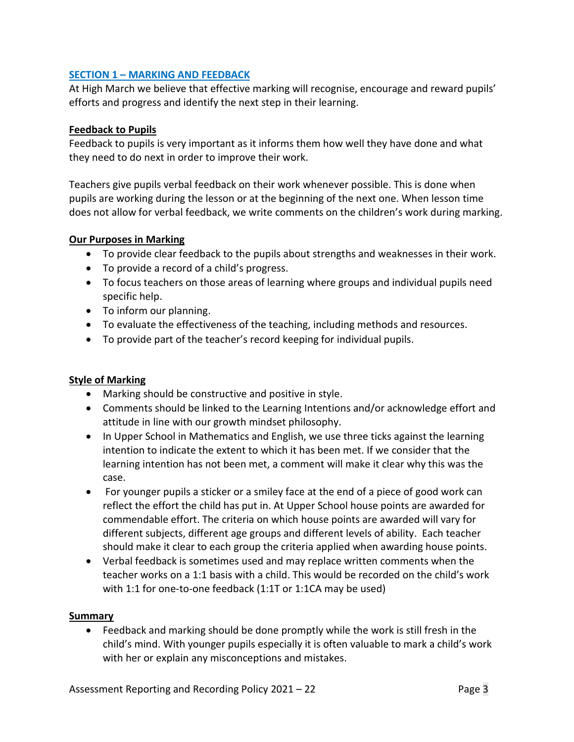#### **SECTION 1 – MARKING AND FEEDBACK**

At High March we believe that effective marking will recognise, encourage and reward pupils' efforts and progress and identify the next step in their learning.

#### **Feedback to Pupils**

Feedback to pupils is very important as it informs them how well they have done and what they need to do next in order to improve their work.

Teachers give pupils verbal feedback on their work whenever possible. This is done when pupils are working during the lesson or at the beginning of the next one. When lesson time does not allow for verbal feedback, we write comments on the children's work during marking.

#### **Our Purposes in Marking**

- To provide clear feedback to the pupils about strengths and weaknesses in their work.
- To provide a record of a child's progress.
- To focus teachers on those areas of learning where groups and individual pupils need specific help.
- To inform our planning.
- To evaluate the effectiveness of the teaching, including methods and resources.
- To provide part of the teacher's record keeping for individual pupils.

### **Style of Marking**

- Marking should be constructive and positive in style.
- Comments should be linked to the Learning Intentions and/or acknowledge effort and attitude in line with our growth mindset philosophy.
- In Upper School in Mathematics and English, we use three ticks against the learning intention to indicate the extent to which it has been met. If we consider that the learning intention has not been met, a comment will make it clear why this was the case.
- For younger pupils a sticker or a smiley face at the end of a piece of good work can reflect the effort the child has put in. At Upper School house points are awarded for commendable effort. The criteria on which house points are awarded will vary for different subjects, different age groups and different levels of ability. Each teacher should make it clear to each group the criteria applied when awarding house points.
- Verbal feedback is sometimes used and may replace written comments when the teacher works on a 1:1 basis with a child. This would be recorded on the child's work with 1:1 for one-to-one feedback (1:1T or 1:1CA may be used)

### **Summary**

• Feedback and marking should be done promptly while the work is still fresh in the child's mind. With younger pupils especially it is often valuable to mark a child's work with her or explain any misconceptions and mistakes.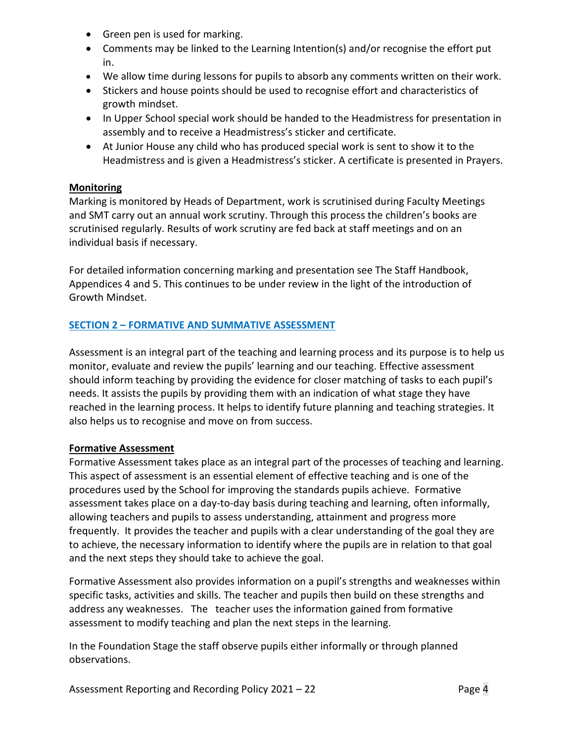- Green pen is used for marking.
- Comments may be linked to the Learning Intention(s) and/or recognise the effort put in.
- We allow time during lessons for pupils to absorb any comments written on their work.
- Stickers and house points should be used to recognise effort and characteristics of growth mindset.
- In Upper School special work should be handed to the Headmistress for presentation in assembly and to receive a Headmistress's sticker and certificate.
- At Junior House any child who has produced special work is sent to show it to the Headmistress and is given a Headmistress's sticker. A certificate is presented in Prayers.

### **Monitoring**

Marking is monitored by Heads of Department, work is scrutinised during Faculty Meetings and SMT carry out an annual work scrutiny. Through this process the children's books are scrutinised regularly. Results of work scrutiny are fed back at staff meetings and on an individual basis if necessary.

For detailed information concerning marking and presentation see The Staff Handbook, Appendices 4 and 5. This continues to be under review in the light of the introduction of Growth Mindset.

### **SECTION 2 – FORMATIVE AND SUMMATIVE ASSESSMENT**

Assessment is an integral part of the teaching and learning process and its purpose is to help us monitor, evaluate and review the pupils' learning and our teaching. Effective assessment should inform teaching by providing the evidence for closer matching of tasks to each pupil's needs. It assists the pupils by providing them with an indication of what stage they have reached in the learning process. It helps to identify future planning and teaching strategies. It also helps us to recognise and move on from success.

#### **Formative Assessment**

Formative Assessment takes place as an integral part of the processes of teaching and learning. This aspect of assessment is an essential element of effective teaching and is one of the procedures used by the School for improving the standards pupils achieve. Formative assessment takes place on a day-to-day basis during teaching and learning, often informally, allowing teachers and pupils to assess understanding, attainment and progress more frequently. It provides the teacher and pupils with a clear understanding of the goal they are to achieve, the necessary information to identify where the pupils are in relation to that goal and the next steps they should take to achieve the goal.

Formative Assessment also provides information on a pupil's strengths and weaknesses within specific tasks, activities and skills. The teacher and pupils then build on these strengths and address any weaknesses. The teacher uses the information gained from formative assessment to modify teaching and plan the next steps in the learning.

In the Foundation Stage the staff observe pupils either informally or through planned observations.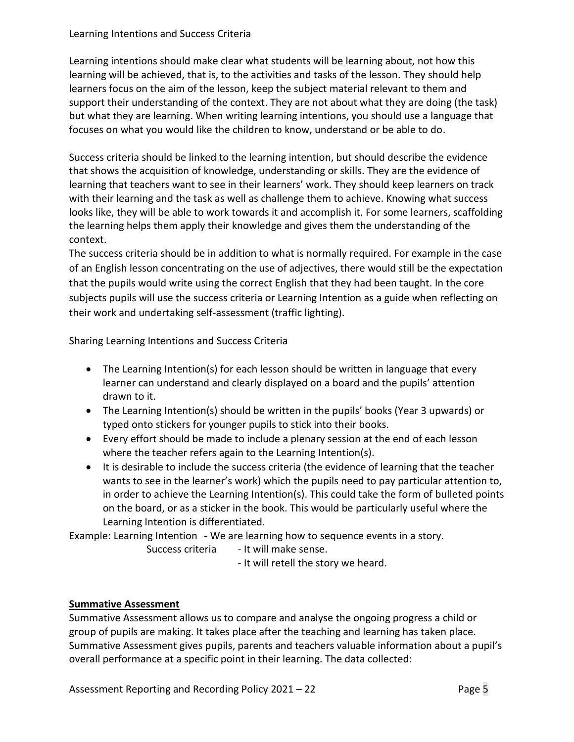#### Learning Intentions and Success Criteria

Learning intentions should make clear what students will be learning about, not how this learning will be achieved, that is, to the activities and tasks of the lesson. They should help learners focus on the aim of the lesson, keep the subject material relevant to them and support their understanding of the context. They are not about what they are doing (the task) but what they are learning. When writing learning intentions, you should use a language that focuses on what you would like the children to know, understand or be able to do.

Success criteria should be linked to the learning intention, but should describe the evidence that shows the acquisition of knowledge, understanding or skills. They are the evidence of learning that teachers want to see in their learners' work. They should keep learners on track with their learning and the task as well as challenge them to achieve. Knowing what success looks like, they will be able to work towards it and accomplish it. For some learners, scaffolding the learning helps them apply their knowledge and gives them the understanding of the context.

The success criteria should be in addition to what is normally required. For example in the case of an English lesson concentrating on the use of adjectives, there would still be the expectation that the pupils would write using the correct English that they had been taught. In the core subjects pupils will use the success criteria or Learning Intention as a guide when reflecting on their work and undertaking self-assessment (traffic lighting).

Sharing Learning Intentions and Success Criteria

- The Learning Intention(s) for each lesson should be written in language that every learner can understand and clearly displayed on a board and the pupils' attention drawn to it.
- The Learning Intention(s) should be written in the pupils' books (Year 3 upwards) or typed onto stickers for younger pupils to stick into their books.
- Every effort should be made to include a plenary session at the end of each lesson where the teacher refers again to the Learning Intention(s).
- It is desirable to include the success criteria (the evidence of learning that the teacher wants to see in the learner's work) which the pupils need to pay particular attention to, in order to achieve the Learning Intention(s). This could take the form of bulleted points on the board, or as a sticker in the book. This would be particularly useful where the Learning Intention is differentiated.

Example: Learning Intention - We are learning how to sequence events in a story.

Success criteria - It will make sense.

- It will retell the story we heard.

### **Summative Assessment**

Summative Assessment allows us to compare and analyse the ongoing progress a child or group of pupils are making. It takes place after the teaching and learning has taken place. Summative Assessment gives pupils, parents and teachers valuable information about a pupil's overall performance at a specific point in their learning. The data collected: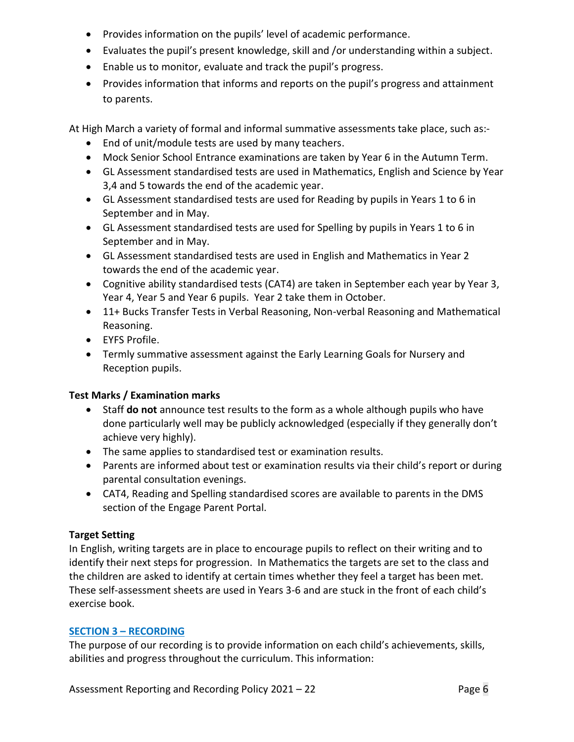- Provides information on the pupils' level of academic performance.
- Evaluates the pupil's present knowledge, skill and /or understanding within a subject.
- Enable us to monitor, evaluate and track the pupil's progress.
- Provides information that informs and reports on the pupil's progress and attainment to parents.

At High March a variety of formal and informal summative assessments take place, such as:-

- End of unit/module tests are used by many teachers.
- Mock Senior School Entrance examinations are taken by Year 6 in the Autumn Term.
- GL Assessment standardised tests are used in Mathematics, English and Science by Year 3,4 and 5 towards the end of the academic year.
- GL Assessment standardised tests are used for Reading by pupils in Years 1 to 6 in September and in May.
- GL Assessment standardised tests are used for Spelling by pupils in Years 1 to 6 in September and in May.
- GL Assessment standardised tests are used in English and Mathematics in Year 2 towards the end of the academic year.
- Cognitive ability standardised tests (CAT4) are taken in September each year by Year 3, Year 4, Year 5 and Year 6 pupils. Year 2 take them in October.
- 11+ Bucks Transfer Tests in Verbal Reasoning, Non-verbal Reasoning and Mathematical Reasoning.
- EYFS Profile.
- Termly summative assessment against the Early Learning Goals for Nursery and Reception pupils.

## **Test Marks / Examination marks**

- Staff **do not** announce test results to the form as a whole although pupils who have done particularly well may be publicly acknowledged (especially if they generally don't achieve very highly).
- The same applies to standardised test or examination results.
- Parents are informed about test or examination results via their child's report or during parental consultation evenings.
- CAT4, Reading and Spelling standardised scores are available to parents in the DMS section of the Engage Parent Portal.

## **Target Setting**

In English, writing targets are in place to encourage pupils to reflect on their writing and to identify their next steps for progression. In Mathematics the targets are set to the class and the children are asked to identify at certain times whether they feel a target has been met. These self-assessment sheets are used in Years 3-6 and are stuck in the front of each child's exercise book.

## **SECTION 3 – RECORDING**

The purpose of our recording is to provide information on each child's achievements, skills, abilities and progress throughout the curriculum. This information: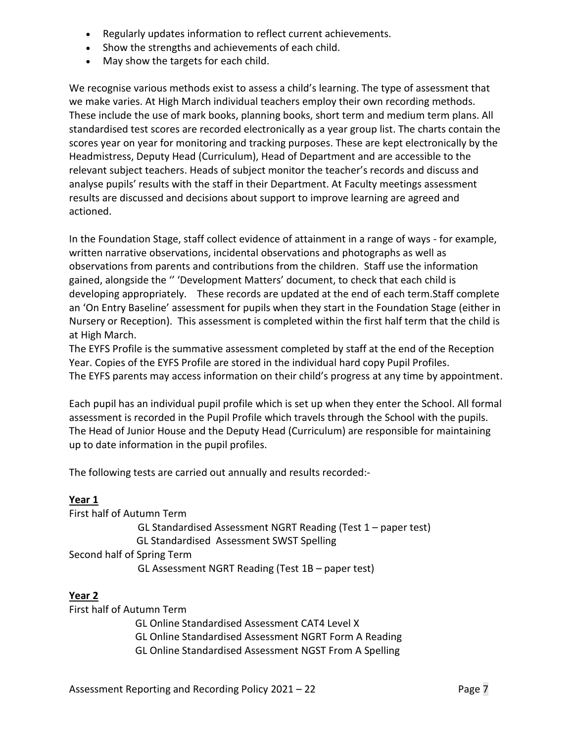- Regularly updates information to reflect current achievements.
- Show the strengths and achievements of each child.
- May show the targets for each child.

We recognise various methods exist to assess a child's learning. The type of assessment that we make varies. At High March individual teachers employ their own recording methods. These include the use of mark books, planning books, short term and medium term plans. All standardised test scores are recorded electronically as a year group list. The charts contain the scores year on year for monitoring and tracking purposes. These are kept electronically by the Headmistress, Deputy Head (Curriculum), Head of Department and are accessible to the relevant subject teachers. Heads of subject monitor the teacher's records and discuss and analyse pupils' results with the staff in their Department. At Faculty meetings assessment results are discussed and decisions about support to improve learning are agreed and actioned.

In the Foundation Stage, staff collect evidence of attainment in a range of ways - for example, written narrative observations, incidental observations and photographs as well as observations from parents and contributions from the children. Staff use the information gained, alongside the '' 'Development Matters' document, to check that each child is developing appropriately. These records are updated at the end of each term.Staff complete an 'On Entry Baseline' assessment for pupils when they start in the Foundation Stage (either in Nursery or Reception). This assessment is completed within the first half term that the child is at High March.

The EYFS Profile is the summative assessment completed by staff at the end of the Reception Year. Copies of the EYFS Profile are stored in the individual hard copy Pupil Profiles. The EYFS parents may access information on their child's progress at any time by appointment.

Each pupil has an individual pupil profile which is set up when they enter the School. All formal assessment is recorded in the Pupil Profile which travels through the School with the pupils. The Head of Junior House and the Deputy Head (Curriculum) are responsible for maintaining up to date information in the pupil profiles.

The following tests are carried out annually and results recorded:-

### **Year 1**

First half of Autumn Term GL Standardised Assessment NGRT Reading (Test 1 – paper test) GL Standardised Assessment SWST Spelling Second half of Spring Term GL Assessment NGRT Reading (Test 1B – paper test)

### **Year 2**

First half of Autumn Term GL Online Standardised Assessment CAT4 Level X GL Online Standardised Assessment NGRT Form A Reading GL Online Standardised Assessment NGST From A Spelling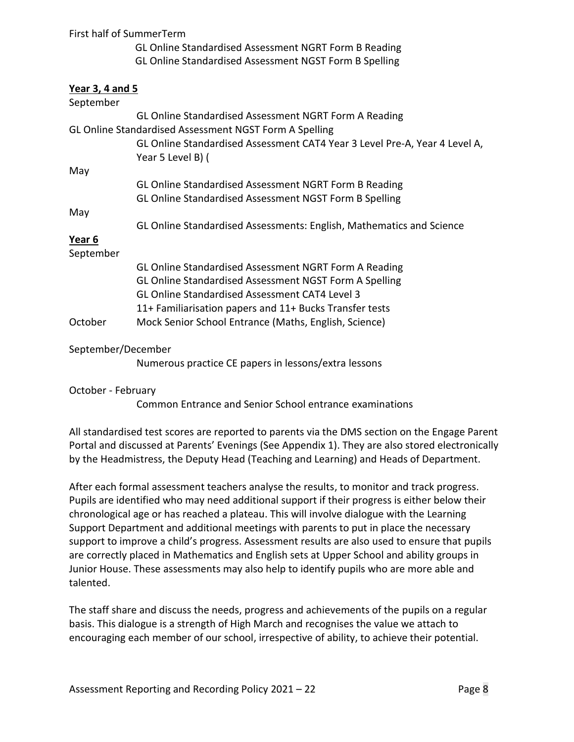| First half of SummerTerm |                                                                                                 |
|--------------------------|-------------------------------------------------------------------------------------------------|
|                          | GL Online Standardised Assessment NGRT Form B Reading                                           |
|                          | GL Online Standardised Assessment NGST Form B Spelling                                          |
| Year 3, 4 and 5          |                                                                                                 |
| September                |                                                                                                 |
|                          | GL Online Standardised Assessment NGRT Form A Reading                                           |
|                          | GL Online Standardised Assessment NGST Form A Spelling                                          |
|                          | GL Online Standardised Assessment CAT4 Year 3 Level Pre-A, Year 4 Level A,<br>Year 5 Level B) ( |
| May                      |                                                                                                 |
|                          | GL Online Standardised Assessment NGRT Form B Reading                                           |
|                          | GL Online Standardised Assessment NGST Form B Spelling                                          |
| May                      |                                                                                                 |
|                          | GL Online Standardised Assessments: English, Mathematics and Science                            |
| Year 6                   |                                                                                                 |
| September                |                                                                                                 |
|                          | GL Online Standardised Assessment NGRT Form A Reading                                           |
|                          | GL Online Standardised Assessment NGST Form A Spelling                                          |
|                          | <b>GL Online Standardised Assessment CAT4 Level 3</b>                                           |
|                          | 11+ Familiarisation papers and 11+ Bucks Transfer tests                                         |
| October                  | Mock Senior School Entrance (Maths, English, Science)                                           |
| September/December       |                                                                                                 |
|                          | Numerous practice CE papers in lessons/extra lessons                                            |
| October - February       |                                                                                                 |

Common Entrance and Senior School entrance examinations

All standardised test scores are reported to parents via the DMS section on the Engage Parent Portal and discussed at Parents' Evenings (See Appendix 1). They are also stored electronically by the Headmistress, the Deputy Head (Teaching and Learning) and Heads of Department.

After each formal assessment teachers analyse the results, to monitor and track progress. Pupils are identified who may need additional support if their progress is either below their chronological age or has reached a plateau. This will involve dialogue with the Learning Support Department and additional meetings with parents to put in place the necessary support to improve a child's progress. Assessment results are also used to ensure that pupils are correctly placed in Mathematics and English sets at Upper School and ability groups in Junior House. These assessments may also help to identify pupils who are more able and talented.

The staff share and discuss the needs, progress and achievements of the pupils on a regular basis. This dialogue is a strength of High March and recognises the value we attach to encouraging each member of our school, irrespective of ability, to achieve their potential.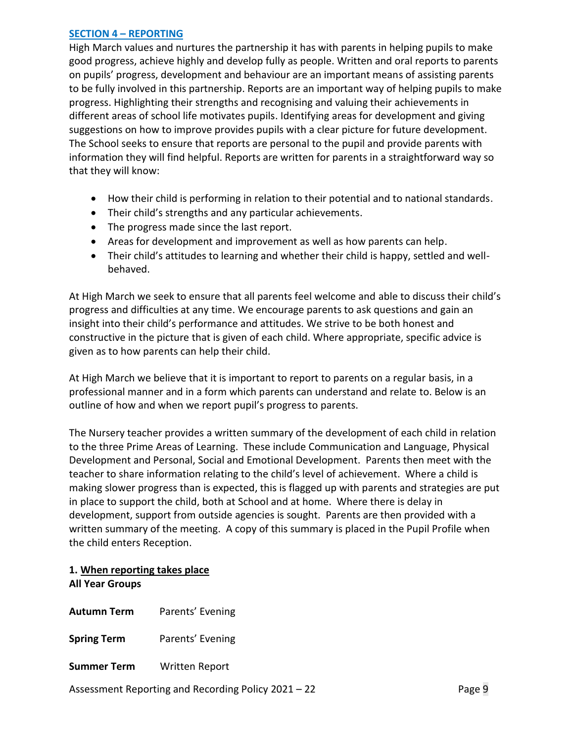#### **SECTION 4 – REPORTING**

High March values and nurtures the partnership it has with parents in helping pupils to make good progress, achieve highly and develop fully as people. Written and oral reports to parents on pupils' progress, development and behaviour are an important means of assisting parents to be fully involved in this partnership. Reports are an important way of helping pupils to make progress. Highlighting their strengths and recognising and valuing their achievements in different areas of school life motivates pupils. Identifying areas for development and giving suggestions on how to improve provides pupils with a clear picture for future development. The School seeks to ensure that reports are personal to the pupil and provide parents with information they will find helpful. Reports are written for parents in a straightforward way so that they will know:

- How their child is performing in relation to their potential and to national standards.
- Their child's strengths and any particular achievements.
- The progress made since the last report.
- Areas for development and improvement as well as how parents can help.
- Their child's attitudes to learning and whether their child is happy, settled and wellbehaved.

At High March we seek to ensure that all parents feel welcome and able to discuss their child's progress and difficulties at any time. We encourage parents to ask questions and gain an insight into their child's performance and attitudes. We strive to be both honest and constructive in the picture that is given of each child. Where appropriate, specific advice is given as to how parents can help their child.

At High March we believe that it is important to report to parents on a regular basis, in a professional manner and in a form which parents can understand and relate to. Below is an outline of how and when we report pupil's progress to parents.

The Nursery teacher provides a written summary of the development of each child in relation to the three Prime Areas of Learning. These include Communication and Language, Physical Development and Personal, Social and Emotional Development. Parents then meet with the teacher to share information relating to the child's level of achievement. Where a child is making slower progress than is expected, this is flagged up with parents and strategies are put in place to support the child, both at School and at home. Where there is delay in development, support from outside agencies is sought. Parents are then provided with a written summary of the meeting. A copy of this summary is placed in the Pupil Profile when the child enters Reception.

#### **1. When reporting takes place All Year Groups**

**Autumn Term** Parents' Evening

**Spring Term** Parents' Evening

**Summer Term** Written Report

Assessment Reporting and Recording Policy 2021 – 22 Page 9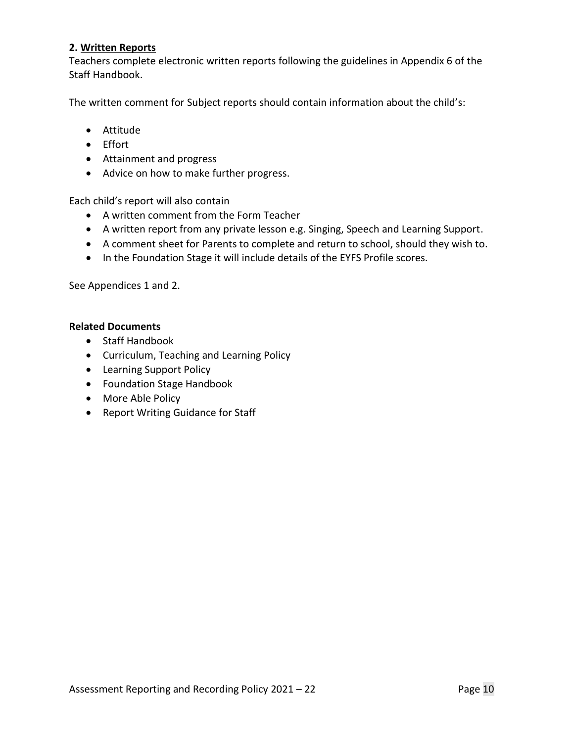#### **2. Written Reports**

Teachers complete electronic written reports following the guidelines in Appendix 6 of the Staff Handbook.

The written comment for Subject reports should contain information about the child's:

- Attitude
- Effort
- Attainment and progress
- Advice on how to make further progress.

Each child's report will also contain

- A written comment from the Form Teacher
- A written report from any private lesson e.g. Singing, Speech and Learning Support.
- A comment sheet for Parents to complete and return to school, should they wish to.
- In the Foundation Stage it will include details of the EYFS Profile scores.

See Appendices 1 and 2.

#### **Related Documents**

- Staff Handbook
- Curriculum, Teaching and Learning Policy
- Learning Support Policy
- Foundation Stage Handbook
- More Able Policy
- Report Writing Guidance for Staff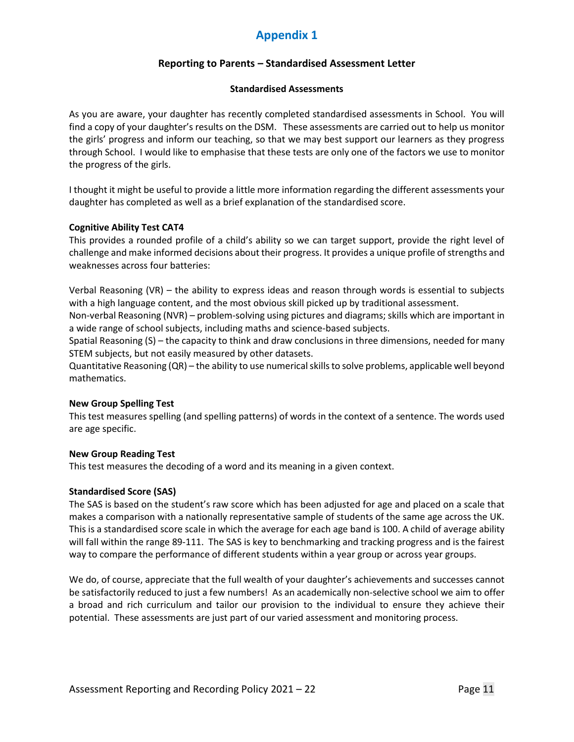## **Appendix 1**

#### **Reporting to Parents – Standardised Assessment Letter**

#### **Standardised Assessments**

As you are aware, your daughter has recently completed standardised assessments in School. You will find a copy of your daughter's results on the DSM. These assessments are carried out to help us monitor the girls' progress and inform our teaching, so that we may best support our learners as they progress through School. I would like to emphasise that these tests are only one of the factors we use to monitor the progress of the girls.

I thought it might be useful to provide a little more information regarding the different assessments your daughter has completed as well as a brief explanation of the standardised score.

#### **Cognitive Ability Test CAT4**

This provides a rounded profile of a child's ability so we can target support, provide the right level of challenge and make informed decisions about their progress. It provides a unique profile of strengths and weaknesses across four batteries:

Verbal Reasoning (VR) – the ability to express ideas and reason through words is essential to subjects with a high language content, and the most obvious skill picked up by traditional assessment.

Non-verbal Reasoning (NVR) – problem-solving using pictures and diagrams; skills which are important in a wide range of school subjects, including maths and science-based subjects.

Spatial Reasoning (S) – the capacity to think and draw conclusions in three dimensions, needed for many STEM subjects, but not easily measured by other datasets.

Quantitative Reasoning (QR) – the ability to use numerical skills to solve problems, applicable well beyond mathematics.

#### **New Group Spelling Test**

This test measures spelling (and spelling patterns) of words in the context of a sentence. The words used are age specific.

#### **New Group Reading Test**

This test measures the decoding of a word and its meaning in a given context.

#### **Standardised Score (SAS)**

The SAS is based on the student's raw score which has been adjusted for age and placed on a scale that makes a comparison with a nationally representative sample of students of the same age across the UK. This is a standardised score scale in which the average for each age band is 100. A child of average ability will fall within the range 89-111. The SAS is key to benchmarking and tracking progress and is the fairest way to compare the performance of different students within a year group or across year groups.

We do, of course, appreciate that the full wealth of your daughter's achievements and successes cannot be satisfactorily reduced to just a few numbers! As an academically non-selective school we aim to offer a broad and rich curriculum and tailor our provision to the individual to ensure they achieve their potential. These assessments are just part of our varied assessment and monitoring process.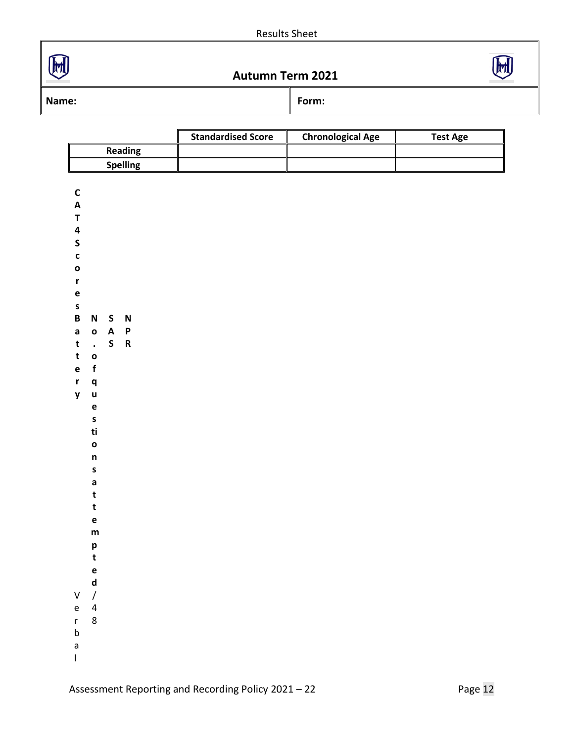





**Name: Form: Form: Form: Form:** 

**C**

|                 | <b>Standardised Score</b> | <b>Chronological Age</b> | Test Age |
|-----------------|---------------------------|--------------------------|----------|
| <b>Reading</b>  |                           |                          |          |
| <b>Spelling</b> |                           |                          |          |

| A           |                         |        |   |  |
|-------------|-------------------------|--------|---|--|
| T           |                         |        |   |  |
| 4           |                         |        |   |  |
| S           |                         |        |   |  |
| $\mathbf c$ |                         |        |   |  |
| o           |                         |        |   |  |
| r           |                         |        |   |  |
| e           |                         |        |   |  |
| S           |                         |        |   |  |
| B           | N                       | S      | N |  |
| a           | O                       |        | P |  |
| t           |                         | A<br>S | R |  |
| t           | $\cdot$<br>$\mathbf{o}$ |        |   |  |
| e           | f                       |        |   |  |
| r           | q                       |        |   |  |
| y           | u                       |        |   |  |
|             | e                       |        |   |  |
|             | s                       |        |   |  |
|             | ti                      |        |   |  |
|             | $\mathbf{o}$            |        |   |  |
|             |                         |        |   |  |
|             | n                       |        |   |  |
|             | S<br>a                  |        |   |  |
|             | t                       |        |   |  |
|             |                         |        |   |  |
|             | t                       |        |   |  |
|             | e                       |        |   |  |
|             | m                       |        |   |  |
|             | p                       |        |   |  |
|             | t                       |        |   |  |
|             | e                       |        |   |  |
|             | d                       |        |   |  |
| V           | $\overline{1}$          |        |   |  |
| e           | 4<br>8                  |        |   |  |
| r<br>b      |                         |        |   |  |
|             |                         |        |   |  |
| a           |                         |        |   |  |
| I           |                         |        |   |  |
|             |                         |        |   |  |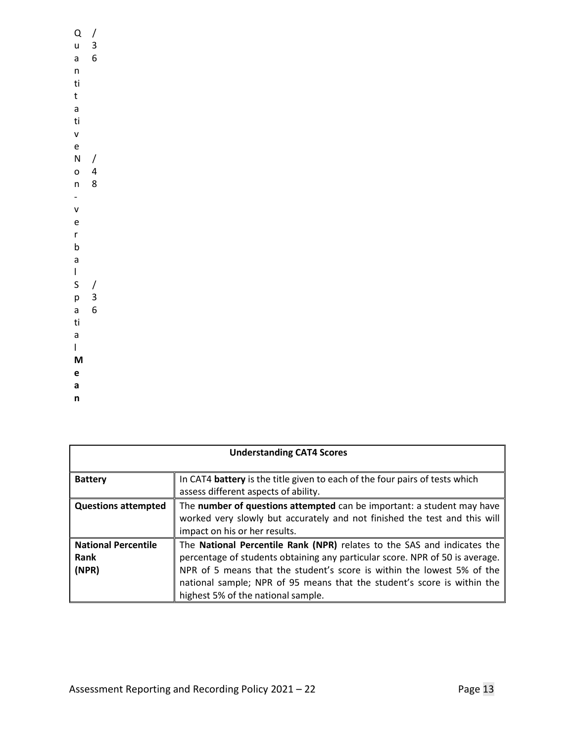Q / u a 6 n ti t a ti v e 3 N / o 4 n 8 v e r b a l S / p 3 a 6 ti a l **M e a n**

| <b>Understanding CAT4 Scores</b>            |                                                                                                                                                                                                                                                                                                                                                    |  |  |
|---------------------------------------------|----------------------------------------------------------------------------------------------------------------------------------------------------------------------------------------------------------------------------------------------------------------------------------------------------------------------------------------------------|--|--|
| <b>Battery</b>                              | In CAT4 battery is the title given to each of the four pairs of tests which<br>assess different aspects of ability.                                                                                                                                                                                                                                |  |  |
| <b>Questions attempted</b>                  | The number of questions attempted can be important: a student may have<br>worked very slowly but accurately and not finished the test and this will<br>impact on his or her results.                                                                                                                                                               |  |  |
| <b>National Percentile</b><br>Rank<br>(NPR) | The National Percentile Rank (NPR) relates to the SAS and indicates the<br>percentage of students obtaining any particular score. NPR of 50 is average.<br>NPR of 5 means that the student's score is within the lowest 5% of the<br>national sample; NPR of 95 means that the student's score is within the<br>highest 5% of the national sample. |  |  |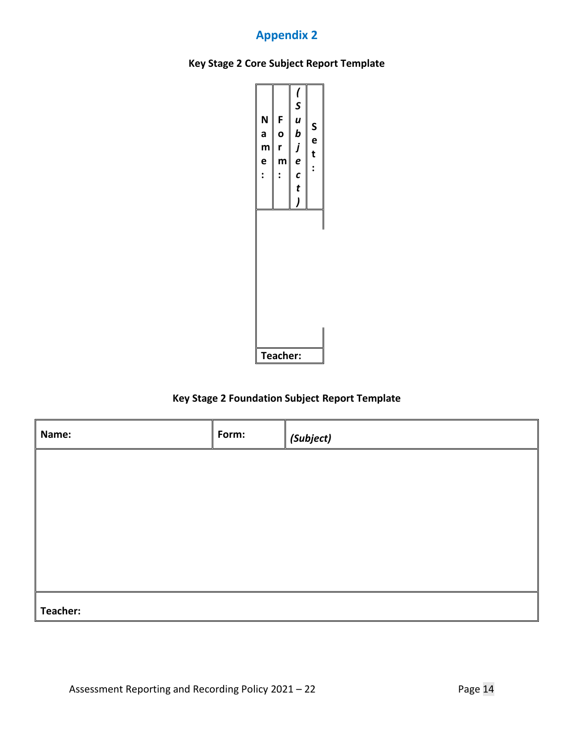## **Appendix 2**





### **Key Stage 2 Foundation Subject Report Template**

| Name:    | Form: | $\vert$ (Subject) |
|----------|-------|-------------------|
|          |       |                   |
|          |       |                   |
|          |       |                   |
|          |       |                   |
|          |       |                   |
| Teacher: |       |                   |